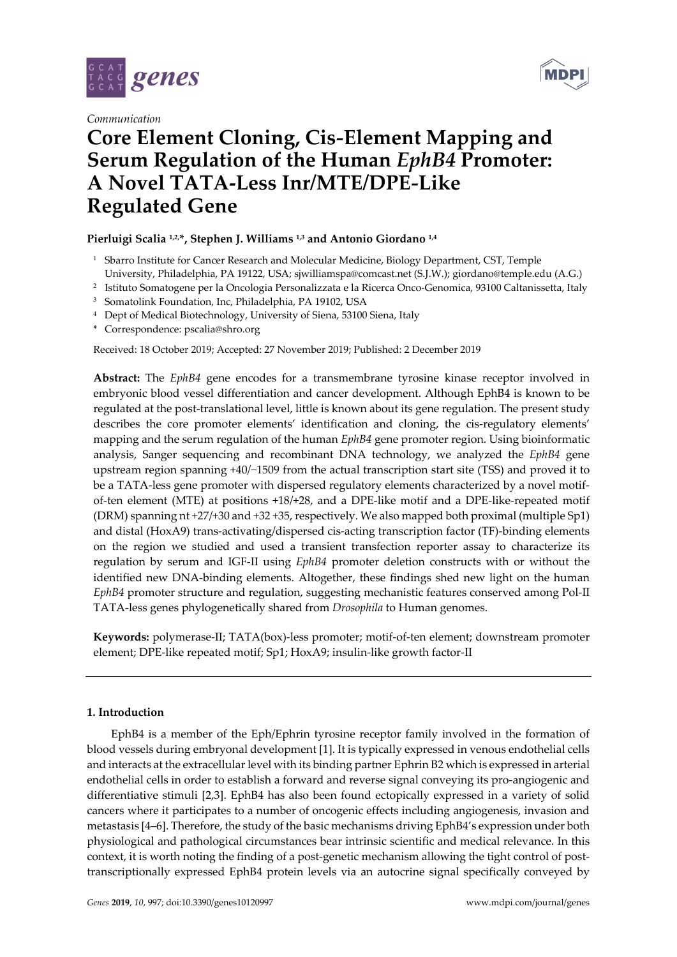

*Communication*



# **Core Element Cloning, Cis***-***Element Mapping and Serum Regulation of the Human** *EphB4* **Promoter: A Novel TATA-Less Inr/MTE/DPE***-***Like Regulated Gene**

# **Pierluigi Scalia 1,2,\*, Stephen J. Williams 1,3 and Antonio Giordano 1,4**

- <sup>1</sup> Sbarro Institute for Cancer Research and Molecular Medicine, Biology Department, CST, Temple University, Philadelphia, PA 19122, USA; sjwilliamspa@comcast.net (S.J.W.); giordano@temple.edu (A.G.)
- 2 Istituto Somatogene per la Oncologia Personalizzata e la Ricerca Onco-Genomica, 93100 Caltanissetta, Italy
- 3 Somatolink Foundation, Inc, Philadelphia, PA 19102, USA
- 4 Dept of Medical Biotechnology, University of Siena, 53100 Siena, Italy
- \* Correspondence: pscalia@shro.org

Received: 18 October 2019; Accepted: 27 November 2019; Published: 2 December 2019

**Abstract:** The *EphB4* gene encodes for a transmembrane tyrosine kinase receptor involved in embryonic blood vessel differentiation and cancer development. Although EphB4 is known to be regulated at the post-translational level, little is known about its gene regulation. The present study describes the core promoter elements' identification and cloning, the cis-regulatory elements' mapping and the serum regulation of the human *EphB4* gene promoter region. Using bioinformatic analysis, Sanger sequencing and recombinant DNA technology, we analyzed the *EphB4* gene upstream region spanning +40/−1509 from the actual transcription start site (TSS) and proved it to be a TATA-less gene promoter with dispersed regulatory elements characterized by a novel motifof-ten element (MTE) at positions +18/+28, and a DPE-like motif and a DPE-like-repeated motif (DRM) spanning nt +27/+30 and +32 +35, respectively. We also mapped both proximal (multiple Sp1) and distal (HoxA9) trans-activating/dispersed cis-acting transcription factor (TF)-binding elements on the region we studied and used a transient transfection reporter assay to characterize its regulation by serum and IGF-II using *EphB4* promoter deletion constructs with or without the identified new DNA-binding elements. Altogether, these findings shed new light on the human *EphB4* promoter structure and regulation, suggesting mechanistic features conserved among Pol-II TATA-less genes phylogenetically shared from *Drosophila* to Human genomes.

**Keywords:** polymerase-II; TATA(box)-less promoter; motif-of-ten element; downstream promoter element; DPE-like repeated motif; Sp1; HoxA9; insulin-like growth factor-II

# **1. Introduction**

EphB4 is a member of the Eph/Ephrin tyrosine receptor family involved in the formation of blood vessels during embryonal development [1]. It is typically expressed in venous endothelial cells and interacts at the extracellular level with its binding partner Ephrin B2 which is expressed in arterial endothelial cells in order to establish a forward and reverse signal conveying its pro-angiogenic and differentiative stimuli [2,3]. EphB4 has also been found ectopically expressed in a variety of solid cancers where it participates to a number of oncogenic effects including angiogenesis, invasion and metastasis [4–6]. Therefore, the study of the basic mechanisms driving EphB4's expression under both physiological and pathological circumstances bear intrinsic scientific and medical relevance. In this context, it is worth noting the finding of a post-genetic mechanism allowing the tight control of posttranscriptionally expressed EphB4 protein levels via an autocrine signal specifically conveyed by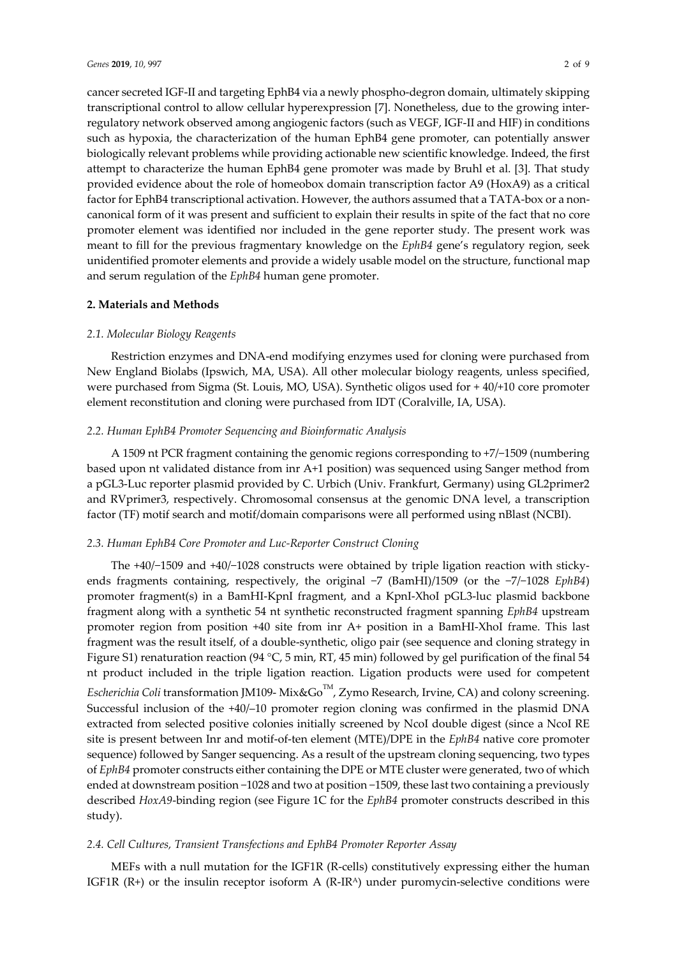cancer secreted IGF-II and targeting EphB4 via a newly phospho-degron domain, ultimately skipping transcriptional control to allow cellular hyperexpression [7]. Nonetheless, due to the growing interregulatory network observed among angiogenic factors (such as VEGF, IGF-II and HIF) in conditions such as hypoxia, the characterization of the human EphB4 gene promoter, can potentially answer biologically relevant problems while providing actionable new scientific knowledge. Indeed, the first attempt to characterize the human EphB4 gene promoter was made by Bruhl et al. [3]. That study provided evidence about the role of homeobox domain transcription factor A9 (HoxA9) as a critical factor for EphB4 transcriptional activation. However, the authors assumed that a TATA-box or a noncanonical form of it was present and sufficient to explain their results in spite of the fact that no core promoter element was identified nor included in the gene reporter study. The present work was meant to fill for the previous fragmentary knowledge on the *EphB4* gene's regulatory region, seek unidentified promoter elements and provide a widely usable model on the structure, functional map and serum regulation of the *EphB4* human gene promoter.

### **2. Materials and Methods**

## *2.1. Molecular Biology Reagents*

Restriction enzymes and DNA-end modifying enzymes used for cloning were purchased from New England Biolabs (Ipswich, MA, USA). All other molecular biology reagents, unless specified, were purchased from Sigma (St. Louis, MO, USA). Synthetic oligos used for + 40/+10 core promoter element reconstitution and cloning were purchased from IDT (Coralville, IA, USA).

## *2.2. Human EphB4 Promoter Sequencing and Bioinformatic Analysis*

A 1509 nt PCR fragment containing the genomic regions corresponding to +7/−1509 (numbering based upon nt validated distance from inr A+1 position) was sequenced using Sanger method from a pGL3-Luc reporter plasmid provided by C. Urbich (Univ. Frankfurt, Germany) using GL2primer2 and RVprimer3, respectively. Chromosomal consensus at the genomic DNA level, a transcription factor (TF) motif search and motif/domain comparisons were all performed using nBlast (NCBI).

### *2.3. Human EphB4 Core Promoter and Luc-Reporter Construct Cloning*

The +40/−1509 and +40/−1028 constructs were obtained by triple ligation reaction with stickyends fragments containing, respectively, the original −7 (BamHI)/1509 (or the −7/−1028 *EphB4*) promoter fragment(s) in a BamHI-KpnI fragment, and a KpnI-XhoI pGL3-luc plasmid backbone fragment along with a synthetic 54 nt synthetic reconstructed fragment spanning *EphB4* upstream promoter region from position +40 site from inr A+ position in a BamHI-XhoI frame. This last fragment was the result itself, of a double-synthetic, oligo pair (see sequence and cloning strategy in Figure S1) renaturation reaction (94 °C, 5 min, RT, 45 min) followed by gel purification of the final 54 nt product included in the triple ligation reaction. Ligation products were used for competent *Escherichia Coli* transformation JM109- Mix&Go<sup>TM</sup>, Zymo Research, Irvine, CA) and colony screening. Successful inclusion of the +40/–10 promoter region cloning was confirmed in the plasmid DNA extracted from selected positive colonies initially screened by NcoI double digest (since a NcoI RE site is present between Inr and motif-of-ten element (MTE)/DPE in the *EphB4* native core promoter sequence) followed by Sanger sequencing. As a result of the upstream cloning sequencing, two types of *EphB4* promoter constructs either containing the DPE or MTE cluster were generated, two of which ended at downstream position −1028 and two at position −1509, these last two containing a previously described *HoxA9*-binding region (see Figure 1C for the *EphB4* promoter constructs described in this study).

### *2.4. Cell Cultures, Transient Transfections and EphB4 Promoter Reporter Assay*

MEFs with a null mutation for the IGF1R (R-cells) constitutively expressing either the human IGF1R  $(R+)$  or the insulin receptor isoform A  $(R-IR^{\text{A}})$  under puromycin-selective conditions were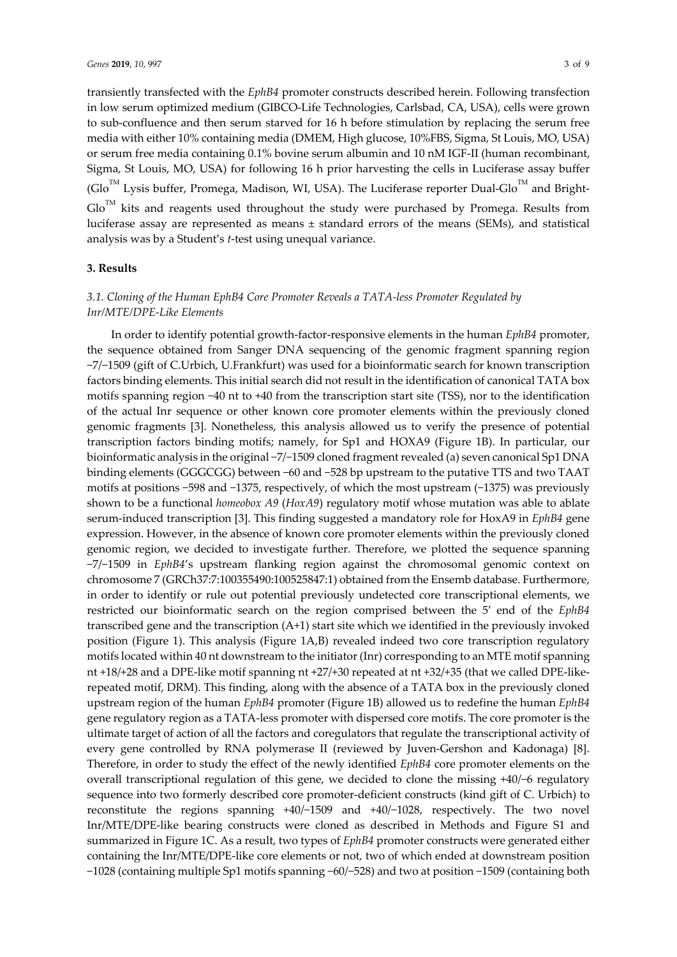transiently transfected with the *EphB4* promoter constructs described herein. Following transfection in low serum optimized medium (GIBCO-Life Technologies, Carlsbad, CA, USA), cells were grown to sub-confluence and then serum starved for 16 h before stimulation by replacing the serum free media with either 10% containing media (DMEM, High glucose, 10%FBS, Sigma, St Louis, MO, USA) or serum free media containing 0.1% bovine serum albumin and 10 nM IGF-II (human recombinant, Sigma, St Louis, MO, USA) for following 16 h prior harvesting the cells in Luciferase assay buffer  $(Glo<sup>TM</sup> Lysis buffer, Promega, Madison, WI, USA)$ . The Luciferase reporter Dual-Glo $^{TM}$  and Bright- $Glo<sup>TM</sup>$  kits and reagents used throughout the study were purchased by Promega. Results from luciferase assay are represented as means  $\pm$  standard errors of the means (SEMs), and statistical analysis was by a Student's *t*-test using unequal variance.

## **3. Results**

# *3.1. Cloning of the Human EphB4 Core Promoter Reveals a TATA-less Promoter Regulated by Inr/MTE/DPE-Like Elements*

In order to identify potential growth-factor-responsive elements in the human *EphB4* promoter, the sequence obtained from Sanger DNA sequencing of the genomic fragment spanning region −7/−1509 (gift of C.Urbich, U.Frankfurt) was used for a bioinformatic search for known transcription factors binding elements. This initial search did not result in the identification of canonical TATA box motifs spanning region −40 nt to +40 from the transcription start site (TSS), nor to the identification of the actual Inr sequence or other known core promoter elements within the previously cloned genomic fragments [3]. Nonetheless, this analysis allowed us to verify the presence of potential transcription factors binding motifs; namely, for Sp1 and HOXA9 (Figure 1B). In particular, our bioinformatic analysis in the original −7/−1509 cloned fragment revealed (a) seven canonical Sp1 DNA binding elements (GGGCGG) between −60 and −528 bp upstream to the putative TTS and two TAAT motifs at positions −598 and −1375, respectively, of which the most upstream (−1375) was previously shown to be a functional *homeobox A9* (*HoxA9*) regulatory motif whose mutation was able to ablate serum-induced transcription [3]. This finding suggested a mandatory role for HoxA9 in *EphB4* gene expression. However, in the absence of known core promoter elements within the previously cloned genomic region, we decided to investigate further. Therefore, we plotted the sequence spanning −7/−1509 in *EphB4*'s upstream flanking region against the chromosomal genomic context on chromosome 7 (GRCh37:7:100355490:100525847:1) obtained from the Ensemb database. Furthermore, in order to identify or rule out potential previously undetected core transcriptional elements, we restricted our bioinformatic search on the region comprised between the 5′ end of the *EphB4* transcribed gene and the transcription (A+1) start site which we identified in the previously invoked position (Figure 1). This analysis (Figure 1A,B) revealed indeed two core transcription regulatory motifs located within 40 nt downstream to the initiator (Inr) corresponding to an MTE motif spanning nt +18/+28 and a DPE-like motif spanning nt +27/+30 repeated at nt +32/+35 (that we called DPE-likerepeated motif, DRM). This finding, along with the absence of a TATA box in the previously cloned upstream region of the human *EphB4* promoter (Figure 1B) allowed us to redefine the human *EphB4* gene regulatory region as a TATA-less promoter with dispersed core motifs. The core promoter is the ultimate target of action of all the factors and coregulators that regulate the transcriptional activity of every gene controlled by RNA polymerase II (reviewed by Juven-Gershon and Kadonaga) [8]. Therefore, in order to study the effect of the newly identified *EphB4* core promoter elements on the overall transcriptional regulation of this gene, we decided to clone the missing +40/−6 regulatory sequence into two formerly described core promoter-deficient constructs (kind gift of C. Urbich) to reconstitute the regions spanning +40/−1509 and +40/−1028, respectively. The two novel Inr/MTE/DPE-like bearing constructs were cloned as described in Methods and Figure S1 and summarized in Figure 1C. As a result, two types of *EphB4* promoter constructs were generated either containing the Inr/MTE/DPE-like core elements or not, two of which ended at downstream position −1028 (containing multiple Sp1 motifs spanning −60/−528) and two at position −1509 (containing both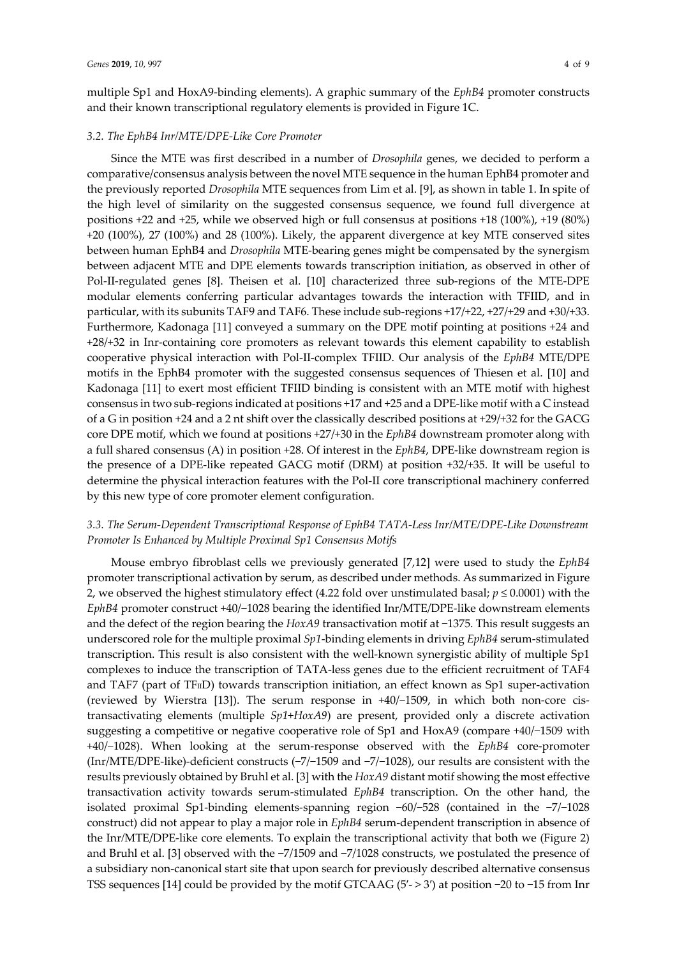multiple Sp1 and HoxA9-binding elements). A graphic summary of the *EphB4* promoter constructs and their known transcriptional regulatory elements is provided in Figure 1C.

#### *3.2. The EphB4 Inr/MTE/DPE-Like Core Promoter*

Since the MTE was first described in a number of *Drosophila* genes, we decided to perform a comparative/consensus analysis between the novel MTE sequence in the human EphB4 promoter and the previously reported *Drosophila* MTE sequences from Lim et al. [9], as shown in table 1. In spite of the high level of similarity on the suggested consensus sequence, we found full divergence at positions +22 and +25, while we observed high or full consensus at positions +18 (100%), +19 (80%) +20 (100%), 27 (100%) and 28 (100%). Likely, the apparent divergence at key MTE conserved sites between human EphB4 and *Drosophila* MTE-bearing genes might be compensated by the synergism between adjacent MTE and DPE elements towards transcription initiation, as observed in other of Pol-II-regulated genes [8]. Theisen et al. [10] characterized three sub-regions of the MTE-DPE modular elements conferring particular advantages towards the interaction with TFIID, and in particular, with its subunits TAF9 and TAF6. These include sub-regions +17/+22, +27/+29 and +30/+33. Furthermore, Kadonaga [11] conveyed a summary on the DPE motif pointing at positions +24 and +28/+32 in Inr-containing core promoters as relevant towards this element capability to establish cooperative physical interaction with Pol-II-complex TFIID. Our analysis of the *EphB4* MTE/DPE motifs in the EphB4 promoter with the suggested consensus sequences of Thiesen et al. [10] and Kadonaga [11] to exert most efficient TFIID binding is consistent with an MTE motif with highest consensus in two sub-regions indicated at positions +17 and +25 and a DPE-like motif with a C instead of a G in position +24 and a 2 nt shift over the classically described positions at +29/+32 for the GACG core DPE motif, which we found at positions +27/+30 in the *EphB4* downstream promoter along with a full shared consensus (A) in position +28. Of interest in the *EphB4*, DPE-like downstream region is the presence of a DPE-like repeated GACG motif (DRM) at position +32/+35. It will be useful to determine the physical interaction features with the Pol-II core transcriptional machinery conferred by this new type of core promoter element configuration.

## *3.3. The Serum-Dependent Transcriptional Response of EphB4 TATA-Less Inr/MTE/DPE-Like Downstream Promoter Is Enhanced by Multiple Proximal Sp1 Consensus Motifs*

Mouse embryo fibroblast cells we previously generated [7,12] were used to study the *EphB4* promoter transcriptional activation by serum, as described under methods. As summarized in Figure 2, we observed the highest stimulatory effect (4.22 fold over unstimulated basal; *p* ≤ 0.0001) with the *EphB4* promoter construct +40/−1028 bearing the identified Inr/MTE/DPE-like downstream elements and the defect of the region bearing the *HoxA9* transactivation motif at −1375. This result suggests an underscored role for the multiple proximal *Sp1*-binding elements in driving *EphB4* serum-stimulated transcription. This result is also consistent with the well-known synergistic ability of multiple Sp1 complexes to induce the transcription of TATA-less genes due to the efficient recruitment of TAF4 and TAF7 (part of TFIID) towards transcription initiation, an effect known as Sp1 super-activation (reviewed by Wierstra [13]). The serum response in +40/−1509, in which both non-core cistransactivating elements (multiple *Sp1*+*HoxA9*) are present, provided only a discrete activation suggesting a competitive or negative cooperative role of Sp1 and HoxA9 (compare +40/−1509 with +40/−1028). When looking at the serum-response observed with the *EphB4* core-promoter (Inr/MTE/DPE-like)-deficient constructs (−7/−1509 and −7/−1028), our results are consistent with the results previously obtained by Bruhl et al. [3] with the *HoxA9* distant motif showing the most effective transactivation activity towards serum-stimulated *EphB4* transcription. On the other hand, the isolated proximal Sp1-binding elements-spanning region −60/−528 (contained in the −7/−1028 construct) did not appear to play a major role in *EphB4* serum-dependent transcription in absence of the Inr*/*MTE/DPE-like core elements. To explain the transcriptional activity that both we (Figure 2) and Bruhl et al. [3] observed with the −7/1509 and −7/1028 constructs, we postulated the presence of a subsidiary non-canonical start site that upon search for previously described alternative consensus TSS sequences [14] could be provided by the motif GTCAAG (5′- > 3′) at position −20 to −15 from Inr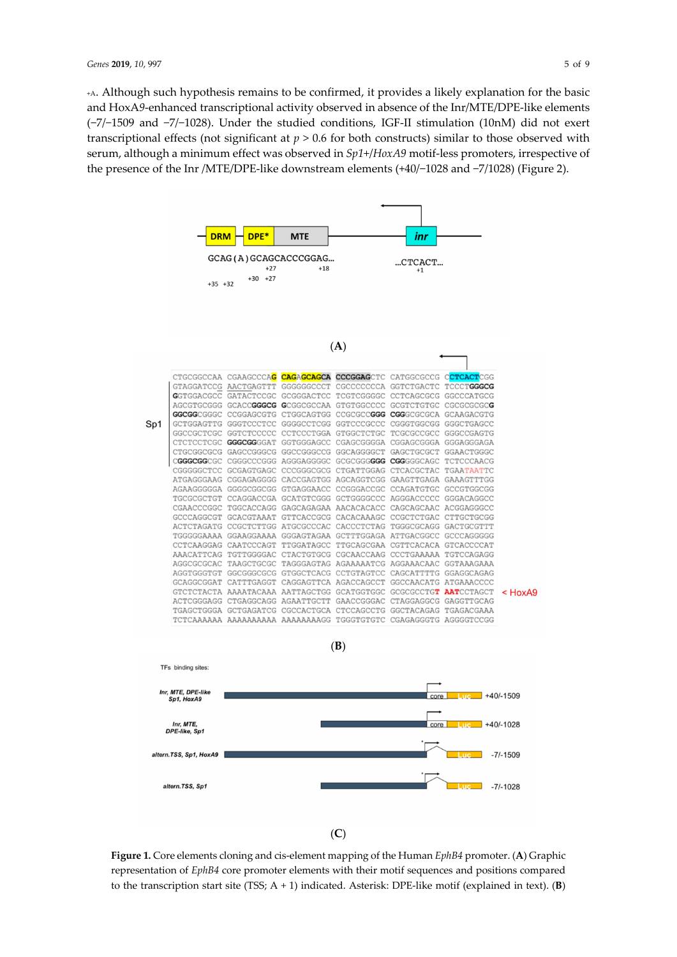+A. Although such hypothesis remains to be confirmed, it provides a likely explanation for the basic and HoxA*9*-enhanced transcriptional activity observed in absence of the Inr/MTE/DPE-like elements (−7/−1509 and −7/−1028). Under the studied conditions, IGF-II stimulation (10nM) did not exert transcriptional effects (not significant at *p* > 0.6 for both constructs) similar to those observed with serum, although a minimum effect was observed in *Sp1*+/*HoxA9* motif-less promoters, irrespective of the presence of the Inr /MTE/DPE-like downstream elements (+40/−1028 and −7/1028) (Figure 2).



(**C**)

**Figure 1.** Core elements cloning and cis-element mapping of the Human *EphB4* promoter. (**A**) Graphic representation of *EphB4* core promoter elements with their motif sequences and positions compared to the transcription start site (TSS; A + 1) indicated. Asterisk: DPE-like motif (explained in text). (**B**)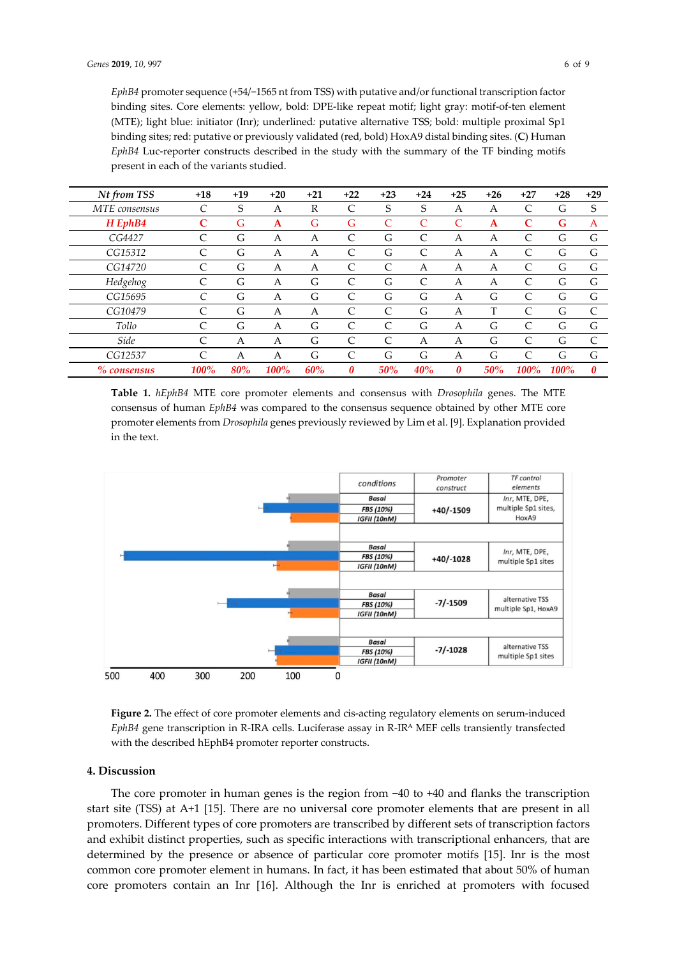*EphB4* promoter sequence (+54/−1565 nt from TSS) with putative and/or functional transcription factor binding sites. Core elements: yellow, bold: DPE-like repeat motif; light gray: motif-of-ten element (MTE); light blue: initiator (Inr); underlined*:* putative alternative TSS; bold: multiple proximal Sp1 binding sites; red: putative or previously validated (red, bold) HoxA9 distal binding sites. (**C**) Human *EphB4* Luc-reporter constructs described in the study with the summary of the TF binding motifs present in each of the variants studied.

| Nt from TSS   | $+18$ | $+19$ | $+20$ | $+21$ | $+22$         | $+23$         | $+24$ | $+25$ | $+26$ | $+27$        | $+28$       | $+29$        |
|---------------|-------|-------|-------|-------|---------------|---------------|-------|-------|-------|--------------|-------------|--------------|
| MTE consensus |       | S     | A     | R     | C             | S             | S     | А     | A     | C            | G           | S            |
| $H$ EphB4     | C     | G     | A     | G     | G             | C             |       | C     | A     | C            | G           | A            |
| CG4427        |       | G     | А     | А     | C             | G             | C     | А     | A     | C            | G           | G            |
| CG15312       |       | G     | A     | А     | $\mathcal{C}$ | G             | C     | А     | A     | C            | G           | G            |
| CG14720       |       | G     | А     | А     | $\mathsf{C}$  | $\mathcal{C}$ | А     | А     | А     | C            | G           | G            |
| Hedgehog      | C     | G     | A     | G     | $\mathsf{C}$  | G             | C     | А     | A     | C            | G           | G            |
| CG15695       |       | G     | A     | G     | C             | G             | G     | А     | G     | C            | G           | G            |
| CG10479       |       | G     | А     | А     | C             | C             | G     | А     |       | $\mathsf{C}$ | G           | $\mathsf{C}$ |
| Tollo         |       | G     | A     | G     | $\mathsf{C}$  | C             | G     | А     | G     | C            | G           | G            |
| Side          | C     | А     | A     | G     | $\mathsf{C}$  | C             | А     | Α     | G     | $\mathsf{C}$ | G           | $\mathsf{C}$ |
| CG12537       | C     | A     | Α     | G     | C             | G             | G     | А     | G     | C            | G           | G            |
| % consensus   | 100%  | 80%   | 100%  | 60%   | 0             | 50%           | 40%   | 0     | 50%   | 100%         | <b>100%</b> | 0            |

**Table 1.** *hEphB4* MTE core promoter elements and consensus with *Drosophila* genes. The MTE consensus of human *EphB4* was compared to the consensus sequence obtained by other MTE core promoter elements from *Drosophila* genes previously reviewed by Lim et al. [9]. Explanation provided in the text.



**Figure 2.** The effect of core promoter elements and cis-acting regulatory elements on serum-induced *EphB4* gene transcription in R-IRA cells. Luciferase assay in R-IRA MEF cells transiently transfected with the described hEphB4 promoter reporter constructs.

#### **4. Discussion**

The core promoter in human genes is the region from −40 to +40 and flanks the transcription start site (TSS) at A+1 [15]. There are no universal core promoter elements that are present in all promoters. Different types of core promoters are transcribed by different sets of transcription factors and exhibit distinct properties, such as specific interactions with transcriptional enhancers, that are determined by the presence or absence of particular core promoter motifs [15]. Inr is the most common core promoter element in humans. In fact, it has been estimated that about 50% of human core promoters contain an Inr [16]. Although the Inr is enriched at promoters with focused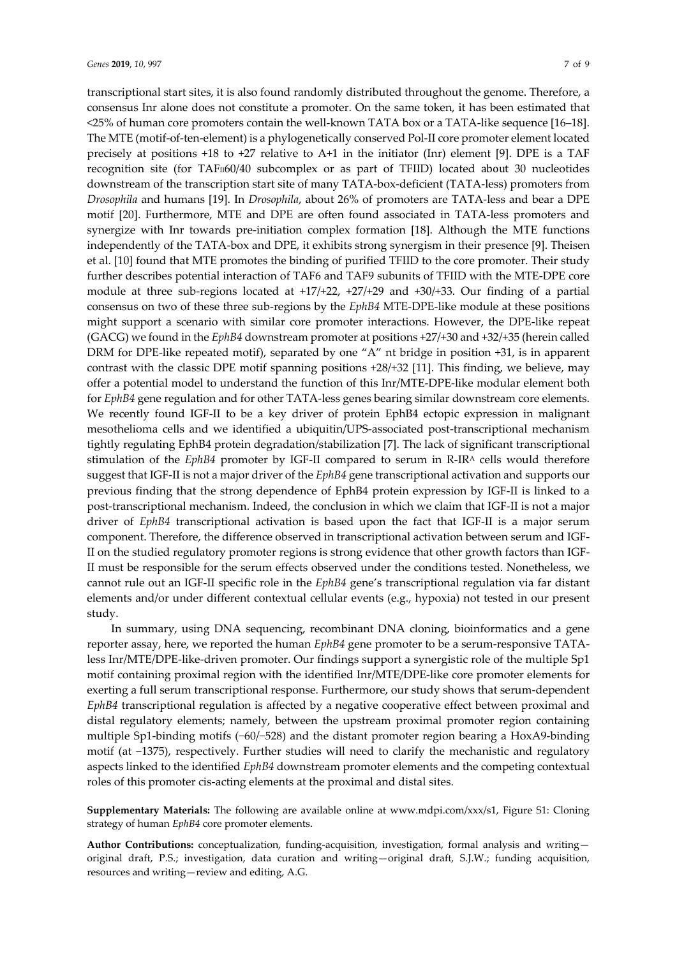transcriptional start sites, it is also found randomly distributed throughout the genome. Therefore, a consensus Inr alone does not constitute a promoter. On the same token, it has been estimated that <25% of human core promoters contain the well-known TATA box or a TATA-like sequence [16–18]. The MTE (motif-of-ten-element) is a phylogenetically conserved Pol-II core promoter element located precisely at positions +18 to +27 relative to A+1 in the initiator (Inr) element [9]. DPE is a TAF recognition site (for TAF<sub>II60</sub>/40 subcomplex or as part of TFIID) located about 30 nucleotides downstream of the transcription start site of many TATA-box-deficient (TATA-less) promoters from *Drosophila* and humans [19]. In *Drosophila*, about 26% of promoters are TATA-less and bear a DPE motif [20]. Furthermore, MTE and DPE are often found associated in TATA-less promoters and synergize with Inr towards pre-initiation complex formation [18]. Although the MTE functions independently of the TATA-box and DPE, it exhibits strong synergism in their presence [9]. Theisen et al. [10] found that MTE promotes the binding of purified TFIID to the core promoter. Their study further describes potential interaction of TAF6 and TAF9 subunits of TFIID with the MTE-DPE core module at three sub-regions located at +17/+22, +27/+29 and +30/+33. Our finding of a partial consensus on two of these three sub-regions by the *EphB4* MTE-DPE-like module at these positions might support a scenario with similar core promoter interactions. However, the DPE-like repeat (GACG) we found in the *EphB4* downstream promoter at positions +27/+30 and +32/+35 (herein called DRM for DPE-like repeated motif), separated by one "A" nt bridge in position +31, is in apparent contrast with the classic DPE motif spanning positions +28/+32 [11]. This finding, we believe, may offer a potential model to understand the function of this Inr/MTE-DPE-like modular element both for *EphB4* gene regulation and for other TATA-less genes bearing similar downstream core elements. We recently found IGF-II to be a key driver of protein EphB4 ectopic expression in malignant mesothelioma cells and we identified a ubiquitin/UPS-associated post-transcriptional mechanism tightly regulating EphB4 protein degradation/stabilization [7]. The lack of significant transcriptional stimulation of the *EphB4* promoter by IGF-II compared to serum in R-IRA cells would therefore suggest that IGF-II is not a major driver of the *EphB4* gene transcriptional activation and supports our previous finding that the strong dependence of EphB4 protein expression by IGF-II is linked to a post-transcriptional mechanism. Indeed, the conclusion in which we claim that IGF-II is not a major driver of *EphB4* transcriptional activation is based upon the fact that IGF-II is a major serum component. Therefore, the difference observed in transcriptional activation between serum and IGF-II on the studied regulatory promoter regions is strong evidence that other growth factors than IGF-II must be responsible for the serum effects observed under the conditions tested. Nonetheless, we cannot rule out an IGF-II specific role in the *EphB4* gene's transcriptional regulation via far distant elements and/or under different contextual cellular events (e.g., hypoxia) not tested in our present study.

In summary, using DNA sequencing, recombinant DNA cloning, bioinformatics and a gene reporter assay, here, we reported the human *EphB4* gene promoter to be a serum-responsive TATAless Inr/MTE/DPE-like-driven promoter. Our findings support a synergistic role of the multiple Sp1 motif containing proximal region with the identified Inr/MTE/DPE-like core promoter elements for exerting a full serum transcriptional response. Furthermore, our study shows that serum-dependent *EphB4* transcriptional regulation is affected by a negative cooperative effect between proximal and distal regulatory elements; namely, between the upstream proximal promoter region containing multiple Sp1-binding motifs (−60/−528) and the distant promoter region bearing a HoxA9-binding motif (at −1375), respectively. Further studies will need to clarify the mechanistic and regulatory aspects linked to the identified *EphB4* downstream promoter elements and the competing contextual roles of this promoter cis-acting elements at the proximal and distal sites.

**Supplementary Materials:** The following are available online at www.mdpi.com/xxx/s1, Figure S1: Cloning strategy of human *EphB4* core promoter elements.

**Author Contributions:** conceptualization, funding-acquisition, investigation, formal analysis and writing original draft, P.S.; investigation, data curation and writing—original draft, S.J.W.; funding acquisition, resources and writing—review and editing, A.G.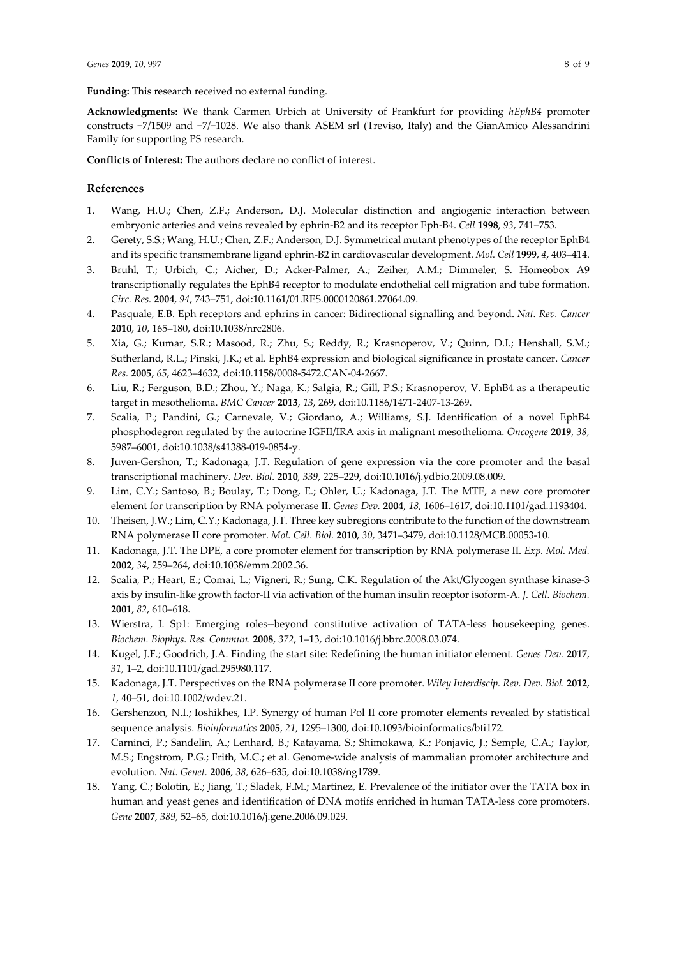**Funding:** This research received no external funding.

**Acknowledgments:** We thank Carmen Urbich at University of Frankfurt for providing *hEphB4* promoter constructs −7/1509 and −7/−1028. We also thank ASEM srl (Treviso, Italy) and the GianAmico Alessandrini Family for supporting PS research.

**Conflicts of Interest:** The authors declare no conflict of interest.

#### **References**

- 1. Wang, H.U.; Chen, Z.F.; Anderson, D.J. Molecular distinction and angiogenic interaction between embryonic arteries and veins revealed by ephrin-B2 and its receptor Eph-B4. *Cell* **1998**, *93*, 741–753.
- 2. Gerety, S.S.; Wang, H.U.; Chen, Z.F.; Anderson, D.J. Symmetrical mutant phenotypes of the receptor EphB4 and its specific transmembrane ligand ephrin-B2 in cardiovascular development. *Mol. Cell* **1999**, *4*, 403–414.
- 3. Bruhl, T.; Urbich, C.; Aicher, D.; Acker-Palmer, A.; Zeiher, A.M.; Dimmeler, S. Homeobox A9 transcriptionally regulates the EphB4 receptor to modulate endothelial cell migration and tube formation. *Circ. Res.* **2004**, *94*, 743–751, doi:10.1161/01.RES.0000120861.27064.09.
- 4. Pasquale, E.B. Eph receptors and ephrins in cancer: Bidirectional signalling and beyond. *Nat. Rev. Cancer*  **2010**, *10*, 165–180, doi:10.1038/nrc2806.
- 5. Xia, G.; Kumar, S.R.; Masood, R.; Zhu, S.; Reddy, R.; Krasnoperov, V.; Quinn, D.I.; Henshall, S.M.; Sutherland, R.L.; Pinski, J.K.; et al. EphB4 expression and biological significance in prostate cancer. *Cancer Res.* **2005**, *65*, 4623–4632, doi:10.1158/0008-5472.CAN-04-2667.
- 6. Liu, R.; Ferguson, B.D.; Zhou, Y.; Naga, K.; Salgia, R.; Gill, P.S.; Krasnoperov, V. EphB4 as a therapeutic target in mesothelioma. *BMC Cancer* **2013**, *13*, 269, doi:10.1186/1471-2407-13-269.
- 7. Scalia, P.; Pandini, G.; Carnevale, V.; Giordano, A.; Williams, S.J. Identification of a novel EphB4 phosphodegron regulated by the autocrine IGFII/IRA axis in malignant mesothelioma. *Oncogene* **2019**, *38*, 5987–6001, doi:10.1038/s41388-019-0854-y.
- 8. Juven-Gershon, T.; Kadonaga, J.T. Regulation of gene expression via the core promoter and the basal transcriptional machinery. *Dev. Biol.* **2010**, *339*, 225–229, doi:10.1016/j.ydbio.2009.08.009.
- 9. Lim, C.Y.; Santoso, B.; Boulay, T.; Dong, E.; Ohler, U.; Kadonaga, J.T. The MTE, a new core promoter element for transcription by RNA polymerase II. *Genes Dev.* **2004**, *18*, 1606–1617, doi:10.1101/gad.1193404.
- 10. Theisen, J.W.; Lim, C.Y.; Kadonaga, J.T. Three key subregions contribute to the function of the downstream RNA polymerase II core promoter. *Mol. Cell. Biol.* **2010**, *30*, 3471–3479, doi:10.1128/MCB.00053-10.
- 11. Kadonaga, J.T. The DPE, a core promoter element for transcription by RNA polymerase II. *Exp. Mol. Med.*  **2002**, *34*, 259–264, doi:10.1038/emm.2002.36.
- 12. Scalia, P.; Heart, E.; Comai, L.; Vigneri, R.; Sung, C.K. Regulation of the Akt/Glycogen synthase kinase-3 axis by insulin-like growth factor-II via activation of the human insulin receptor isoform-A. *J. Cell. Biochem.*  **2001**, *82*, 610–618.
- 13. Wierstra, I. Sp1: Emerging roles--beyond constitutive activation of TATA-less housekeeping genes. *Biochem. Biophys. Res. Commun.* **2008**, *372*, 1–13, doi:10.1016/j.bbrc.2008.03.074.
- 14. Kugel, J.F.; Goodrich, J.A. Finding the start site: Redefining the human initiator element. *Genes Dev.* **2017**, *31*, 1–2, doi:10.1101/gad.295980.117.
- 15. Kadonaga, J.T. Perspectives on the RNA polymerase II core promoter. *Wiley Interdiscip. Rev. Dev. Biol.* **2012**, *1*, 40–51, doi:10.1002/wdev.21.
- 16. Gershenzon, N.I.; Ioshikhes, I.P. Synergy of human Pol II core promoter elements revealed by statistical sequence analysis. *Bioinformatics* **2005**, *21*, 1295–1300, doi:10.1093/bioinformatics/bti172.
- 17. Carninci, P.; Sandelin, A.; Lenhard, B.; Katayama, S.; Shimokawa, K.; Ponjavic, J.; Semple, C.A.; Taylor, M.S.; Engstrom, P.G.; Frith, M.C.; et al. Genome-wide analysis of mammalian promoter architecture and evolution. *Nat. Genet.* **2006**, *38*, 626–635, doi:10.1038/ng1789.
- 18. Yang, C.; Bolotin, E.; Jiang, T.; Sladek, F.M.; Martinez, E. Prevalence of the initiator over the TATA box in human and yeast genes and identification of DNA motifs enriched in human TATA-less core promoters. *Gene* **2007**, *389*, 52–65, doi:10.1016/j.gene.2006.09.029.